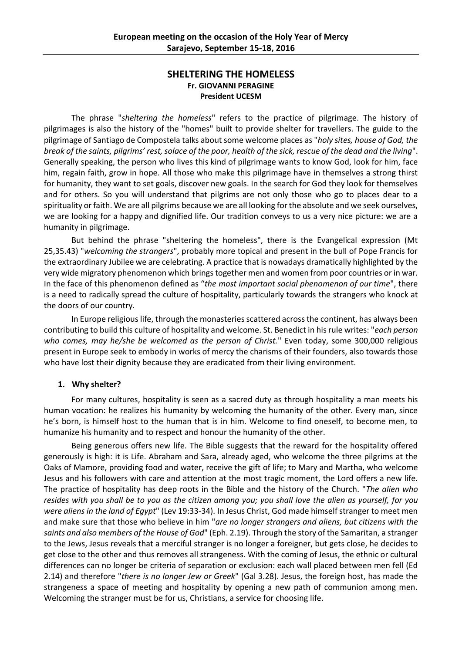# **SHELTERING THE HOMELESS Fr. GIOVANNI PERAGINE President UCESM**

The phrase "*sheltering the homeless*" refers to the practice of pilgrimage. The history of pilgrimages is also the history of the "homes" built to provide shelter for travellers. The guide to the pilgrimage of Santiago de Compostela talks about some welcome places as "*holy sites, house of God, the break of the saints, pilgrims' rest, solace of the poor, health of the sick, rescue of the dead and the living*". Generally speaking, the person who lives this kind of pilgrimage wants to know God, look for him, face him, regain faith, grow in hope. All those who make this pilgrimage have in themselves a strong thirst for humanity, they want to set goals, discover new goals. In the search for God they look for themselves and for others. So you will understand that pilgrims are not only those who go to places dear to a spirituality or faith. We are all pilgrims because we are all looking for the absolute and we seek ourselves, we are looking for a happy and dignified life. Our tradition conveys to us a very nice picture: we are a humanity in pilgrimage.

But behind the phrase "sheltering the homeless", there is the Evangelical expression (Mt 25,35.43) "*welcoming the strangers*", probably more topical and present in the bull of Pope Francis for the extraordinary Jubilee we are celebrating. A practice that is nowadays dramatically highlighted by the very wide migratory phenomenon which brings together men and women from poor countries or in war. In the face of this phenomenon defined as "*the most important social phenomenon of our time*", there is a need to radically spread the culture of hospitality, particularly towards the strangers who knock at the doors of our country.

In Europe religious life, through the monasteries scattered across the continent, has always been contributing to build this culture of hospitality and welcome. St. Benedict in his rule writes: "*each person who comes, may he/she be welcomed as the person of Christ.*" Even today, some 300,000 religious present in Europe seek to embody in works of mercy the charisms of their founders, also towards those who have lost their dignity because they are eradicated from their living environment.

## **1. Why shelter?**

For many cultures, hospitality is seen as a sacred duty as through hospitality a man meets his human vocation: he realizes his humanity by welcoming the humanity of the other. Every man, since he's born, is himself host to the human that is in him. Welcome to find oneself, to become men, to humanize his humanity and to respect and honour the humanity of the other.

Being generous offers new life. The Bible suggests that the reward for the hospitality offered generously is high: it is Life. Abraham and Sara, already aged, who welcome the three pilgrims at the Oaks of Mamore, providing food and water, receive the gift of life; to Mary and Martha, who welcome Jesus and his followers with care and attention at the most tragic moment, the Lord offers a new life. The practice of hospitality has deep roots in the Bible and the history of the Church. "*The alien who resides with you shall be to you as the citizen among you; you shall love the alien as yourself, for you were aliens in the land of Egypt*" (Lev 19:33-34). In Jesus Christ, God made himself stranger to meet men and make sure that those who believe in him "*are no longer strangers and aliens, but citizens with the saints and also members of the House of God*" (Eph. 2.19). Through the story of the Samaritan, a stranger to the Jews, Jesus reveals that a merciful stranger is no longer a foreigner, but gets close, he decides to get close to the other and thus removes all strangeness. With the coming of Jesus, the ethnic or cultural differences can no longer be criteria of separation or exclusion: each wall placed between men fell (Ed 2.14) and therefore "*there is no longer Jew or Greek*" (Gal 3.28). Jesus, the foreign host, has made the strangeness a space of meeting and hospitality by opening a new path of communion among men. Welcoming the stranger must be for us, Christians, a service for choosing life.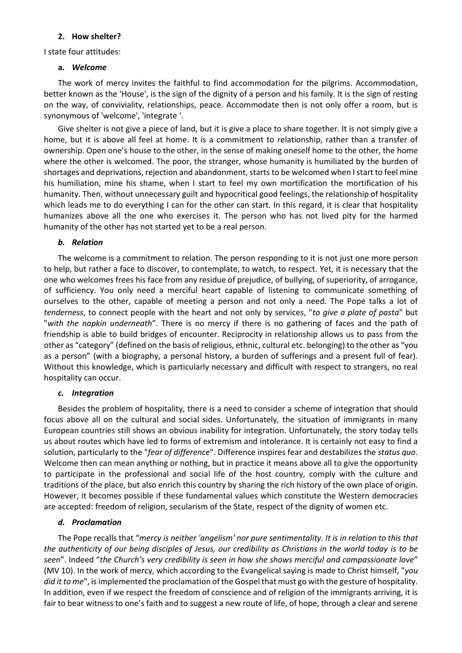#### **2. How shelter?**

I state four attitudes:

#### **a.** *Welcome*

The work of mercy invites the faithful to find accommodation for the pilgrims. Accommodation, better known as the 'House', is the sign of the dignity of a person and his family. It is the sign of resting on the way, of conviviality, relationships, peace. Accommodate then is not only offer a room, but is synonymous of 'welcome', 'integrate '.

Give shelter is not give a piece of land, but it is give a place to share together. It is not simply give a home, but it is above all feel at home. It is a commitment to relationship, rather than a transfer of ownership. Open one's house to the other, in the sense of making oneself home to the other, the home where the other is welcomed. The poor, the stranger, whose humanity is humiliated by the burden of shortages and deprivations, rejection and abandonment, startsto be welcomed when I start to feel mine his humiliation, mine his shame, when I start to feel my own mortification the mortification of his humanity. Then, without unnecessary guilt and hypocritical good feelings, the relationship of hospitality which leads me to do everything I can for the other can start. In this regard, it is clear that hospitality humanizes above all the one who exercises it. The person who has not lived pity for the harmed humanity of the other has not started yet to be a real person.

#### *b. Relation*

The welcome is a commitment to relation. The person responding to it is not just one more person to help, but rather a face to discover, to contemplate, to watch, to respect. Yet, it is necessary that the one who welcomes frees his face from any residue of prejudice, of bullying, of superiority, of arrogance, of sufficiency. You only need a merciful heart capable of listening to communicate something of ourselves to the other, capable of meeting a person and not only a need. The Pope talks a lot of *tenderness*, to connect people with the heart and not only by services, "*to give a plate of pasta*" but "*with the napkin underneath*". There is no mercy if there is no gathering of faces and the path of friendship is able to build bridges of encounter. Reciprocity in relationship allows us to pass from the other as "category" (defined on the basis of religious, ethnic, cultural etc. belonging) to the other as "you as a person" (with a biography, a personal history, a burden of sufferings and a present full of fear). Without this knowledge, which is particularly necessary and difficult with respect to strangers, no real hospitality can occur.

#### *c. Integration*

Besides the problem of hospitality, there is a need to consider a scheme of integration that should focus above all on the cultural and social sides. Unfortunately, the situation of immigrants in many European countries still shows an obvious inability for integration. Unfortunately, the story today tells us about routes which have led to forms of extremism and intolerance. It is certainly not easy to find a solution, particularly to the "*fear of difference*". Difference inspires fear and destabilizes the *status quo*. Welcome then can mean anything or nothing, but in practice it means above all to give the opportunity to participate in the professional and social life of the host country, comply with the culture and traditions of the place, but also enrich this country by sharing the rich history of the own place of origin. However, it becomes possible if these fundamental values which constitute the Western democracies are accepted: freedom of religion, secularism of the State, respect of the dignity of women etc.

## *d. Proclamation*

The Pope recalls that "*mercy is neither 'angelism' nor pure sentimentality. It is in relation to this that the authenticity of our being disciples of Jesus, our credibility as Christians in the world today is to be seen*". Indeed "*the Church's very credibility is seen in how she shows merciful and compassionate love*" (MV 10). In the work of mercy, which according to the Evangelical saying is made to Christ himself, "*you did it to me*", is implemented the proclamation of the Gospel that must go with the gesture of hospitality. In addition, even if we respect the freedom of conscience and of religion of the immigrants arriving, it is fair to bear witness to one's faith and to suggest a new route of life, of hope, through a clear and serene